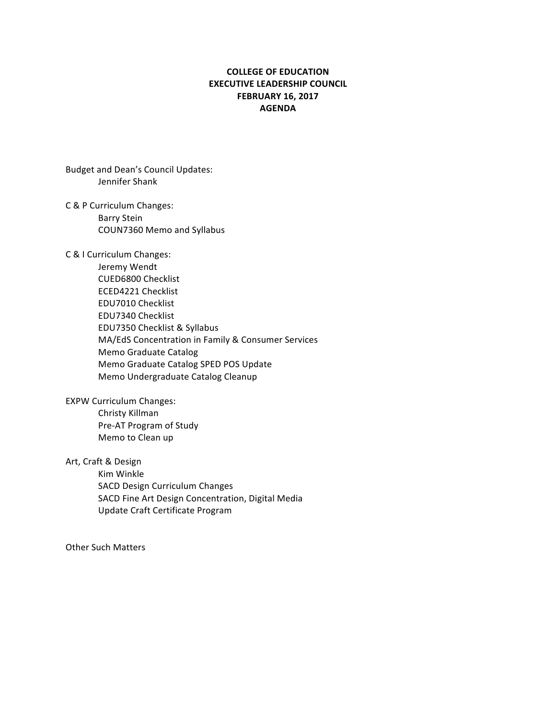## **COLLEGE OF EDUCATION EXECUTIVE LEADERSHIP COUNCIL FEBRUARY 16, 2017 AGENDA**

Budget and Dean's Council Updates: Jennifer Shank

- C & P Curriculum Changes: Barry Stein COUN7360 Memo and Syllabus
- C & I Curriculum Changes:
	- Jeremy Wendt CUED6800 Checklist ECED4221 Checklist EDU7010 Checklist EDU7340 Checklist EDU7350 Checklist & Syllabus MA/EdS Concentration in Family & Consumer Services Memo Graduate Catalog Memo Graduate Catalog SPED POS Update Memo Undergraduate Catalog Cleanup

**EXPW Curriculum Changes:** Christy Killman Pre-AT Program of Study Memo to Clean up

Art, Craft & Design

Kim Winkle SACD Design Curriculum Changes SACD Fine Art Design Concentration, Digital Media Update Craft Certificate Program

**Other Such Matters**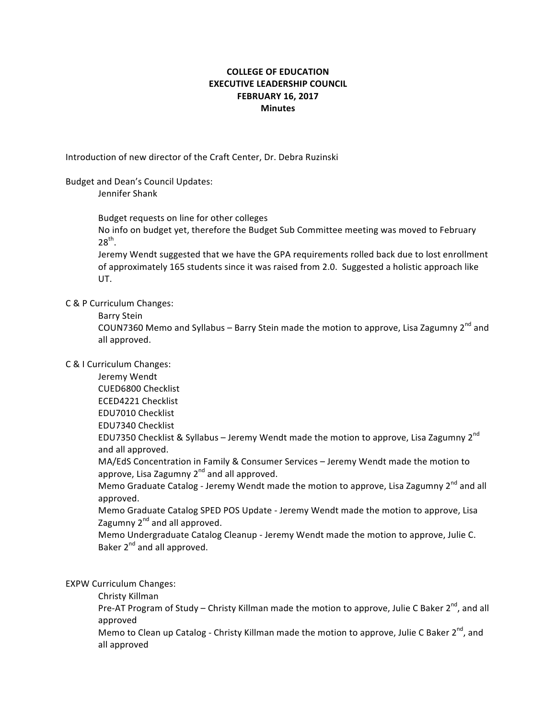# **COLLEGE OF EDUCATION EXECUTIVE LEADERSHIP COUNCIL FEBRUARY 16, 2017 Minutes**

Introduction of new director of the Craft Center, Dr. Debra Ruzinski

#### Budget and Dean's Council Updates:

Jennifer Shank

Budget requests on line for other colleges

No info on budget yet, therefore the Budget Sub Committee meeting was moved to February  $28^{th}$ .

Jeremy Wendt suggested that we have the GPA requirements rolled back due to lost enrollment of approximately 165 students since it was raised from 2.0. Suggested a holistic approach like UT.

C & P Curriculum Changes:

Barry Stein

COUN7360 Memo and Syllabus – Barry Stein made the motion to approve, Lisa Zagumny  $2^{nd}$  and all approved.

## C & I Curriculum Changes:

Jeremy Wendt CUED6800 Checklist ECED4221 Checklist EDU7010 Checklist EDU7340 Checklist EDU7350 Checklist & Syllabus - Jeremy Wendt made the motion to approve, Lisa Zagumny  $2^{nd}$ and all approved. MA/EdS Concentration in Family & Consumer Services - Jeremy Wendt made the motion to approve, Lisa Zagumny  $2^{nd}$  and all approved.

Memo Graduate Catalog - Jeremy Wendt made the motion to approve, Lisa Zagumny 2<sup>nd</sup> and all approved.

Memo Graduate Catalog SPED POS Update - Jeremy Wendt made the motion to approve, Lisa Zagumny  $2^{nd}$  and all approved.

Memo Undergraduate Catalog Cleanup - Jeremy Wendt made the motion to approve, Julie C. Baker 2<sup>nd</sup> and all approved.

**EXPW Curriculum Changes:** 

Christy Killman

Pre-AT Program of Study – Christy Killman made the motion to approve, Julie C Baker  $2^{nd}$ , and all approved

Memo to Clean up Catalog - Christy Killman made the motion to approve, Julie C Baker 2<sup>nd</sup>, and all approved